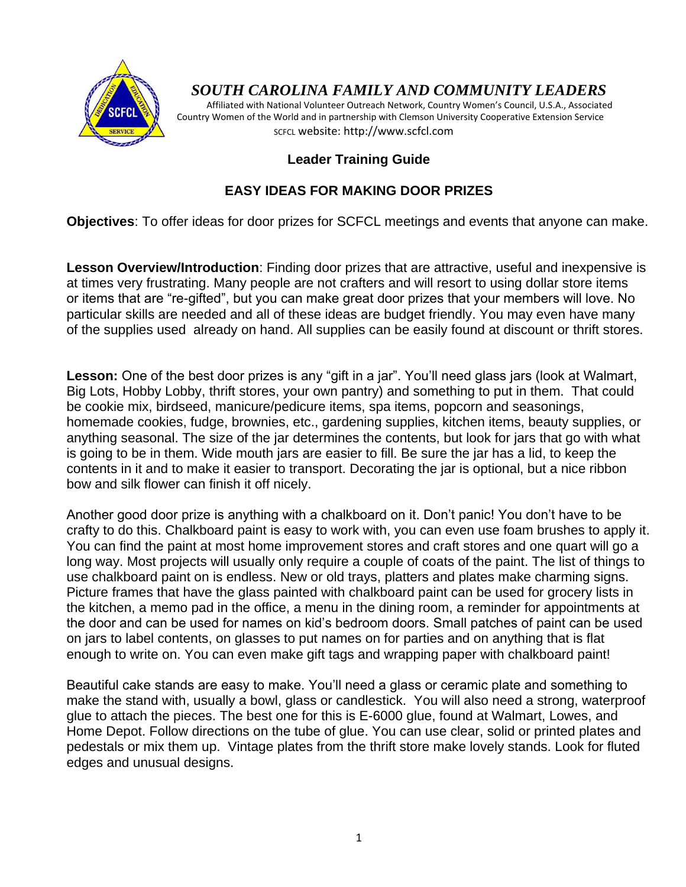

## *SOUTH CAROLINA FAMILY AND COMMUNITY LEADERS*

 Affiliated with National Volunteer Outreach Network, Country Women's Council, U.S.A., Associated Country Women of the World and in partnership with Clemson University Cooperative Extension Service SCFCL website: http://www.scfcl.com

## **Leader Training Guide**

## **EASY IDEAS FOR MAKING DOOR PRIZES**

**Objectives**: To offer ideas for door prizes for SCFCL meetings and events that anyone can make.

**Lesson Overview/Introduction**: Finding door prizes that are attractive, useful and inexpensive is at times very frustrating. Many people are not crafters and will resort to using dollar store items or items that are "re-gifted", but you can make great door prizes that your members will love. No particular skills are needed and all of these ideas are budget friendly. You may even have many of the supplies used already on hand. All supplies can be easily found at discount or thrift stores.

Lesson: One of the best door prizes is any "gift in a jar". You'll need glass jars (look at Walmart, Big Lots, Hobby Lobby, thrift stores, your own pantry) and something to put in them. That could be cookie mix, birdseed, manicure/pedicure items, spa items, popcorn and seasonings, homemade cookies, fudge, brownies, etc., gardening supplies, kitchen items, beauty supplies, or anything seasonal. The size of the jar determines the contents, but look for jars that go with what is going to be in them. Wide mouth jars are easier to fill. Be sure the jar has a lid, to keep the contents in it and to make it easier to transport. Decorating the jar is optional, but a nice ribbon bow and silk flower can finish it off nicely.

Another good door prize is anything with a chalkboard on it. Don't panic! You don't have to be crafty to do this. Chalkboard paint is easy to work with, you can even use foam brushes to apply it. You can find the paint at most home improvement stores and craft stores and one quart will go a long way. Most projects will usually only require a couple of coats of the paint. The list of things to use chalkboard paint on is endless. New or old trays, platters and plates make charming signs. Picture frames that have the glass painted with chalkboard paint can be used for grocery lists in the kitchen, a memo pad in the office, a menu in the dining room, a reminder for appointments at the door and can be used for names on kid's bedroom doors. Small patches of paint can be used on jars to label contents, on glasses to put names on for parties and on anything that is flat enough to write on. You can even make gift tags and wrapping paper with chalkboard paint!

Beautiful cake stands are easy to make. You'll need a glass or ceramic plate and something to make the stand with, usually a bowl, glass or candlestick. You will also need a strong, waterproof glue to attach the pieces. The best one for this is E-6000 glue, found at Walmart, Lowes, and Home Depot. Follow directions on the tube of glue. You can use clear, solid or printed plates and pedestals or mix them up. Vintage plates from the thrift store make lovely stands. Look for fluted edges and unusual designs.